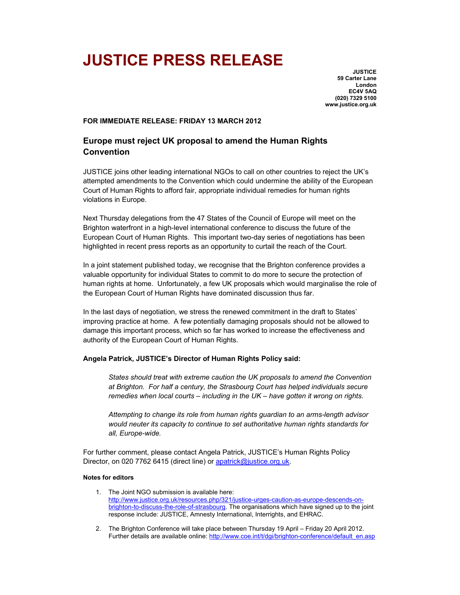# **JUSTICE PRESS RELEASE**

**JUSTICE 59 Carter Lane London EC4V 5AQ (020) 7329 5100 www.justice.org.uk** 

### **FOR IMMEDIATE RELEASE: FRIDAY 13 MARCH 2012**

## **Europe must reject UK proposal to amend the Human Rights Convention**

JUSTICE joins other leading international NGOs to call on other countries to reject the UK's attempted amendments to the Convention which could undermine the ability of the European Court of Human Rights to afford fair, appropriate individual remedies for human rights violations in Europe.

Next Thursday delegations from the 47 States of the Council of Europe will meet on the Brighton waterfront in a high-level international conference to discuss the future of the European Court of Human Rights. This important two-day series of negotiations has been highlighted in recent press reports as an opportunity to curtail the reach of the Court.

In a joint statement published today, we recognise that the Brighton conference provides a valuable opportunity for individual States to commit to do more to secure the protection of human rights at home. Unfortunately, a few UK proposals which would marginalise the role of the European Court of Human Rights have dominated discussion thus far.

In the last days of negotiation, we stress the renewed commitment in the draft to States' improving practice at home. A few potentially damaging proposals should not be allowed to damage this important process, which so far has worked to increase the effectiveness and authority of the European Court of Human Rights.

## **Angela Patrick, JUSTICE's Director of Human Rights Policy said:**

*States should treat with extreme caution the UK proposals to amend the Convention at Brighton. For half a century, the Strasbourg Court has helped individuals secure remedies when local courts – including in the UK – have gotten it wrong on rights.* 

*Attempting to change its role from human rights guardian to an arms-length advisor would neuter its capacity to continue to set authoritative human rights standards for all, Europe-wide.* 

For further comment, please contact Angela Patrick, JUSTICE's Human Rights Policy Director, on 020 7762 6415 (direct line) or apatrick@justice.org.uk.

#### **Notes for editors**

- 1. The Joint NGO submission is available here: http://www.justice.org.uk/resources.php/321/justice-urges-caution-as-europe-descends-onbrighton-to-discuss-the-role-of-strasbourg. The organisations which have signed up to the joint response include: JUSTICE, Amnesty International, Interrights, and EHRAC.
- 2. The Brighton Conference will take place between Thursday 19 April Friday 20 April 2012. Further details are available online: http://www.coe.int/t/dgi/brighton-conference/default\_en.asp